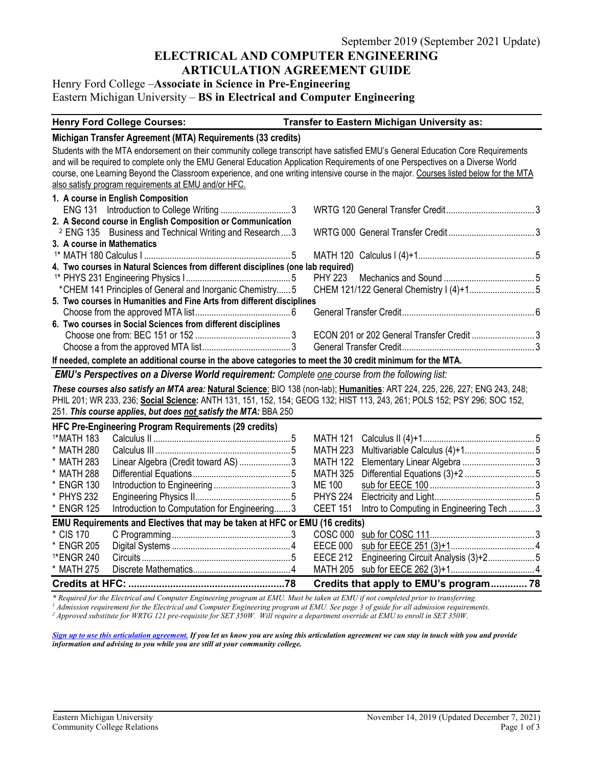### **ELECTRICAL AND COMPUTER ENGINEERING ARTICULATION AGREEMENT GUIDE**

# Henry Ford College –**Associate in Science in Pre-Engineering** Eastern Michigan University – **BS in Electrical and Computer Engineering**

#### **Henry Ford College Courses: Transfer to Eastern Michigan University as:**

#### **Michigan Transfer Agreement (MTA) Requirements (33 credits)**

Students with the MTA endorsement on their community college transcript have satisfied EMU's General Education Core Requirements and will be required to complete only the EMU General Education Application Requirements of one Perspectives on a Diverse World course, one Learning Beyond the Classroom experience, and one writing intensive course in the major. Courses listed below for the MTA also satisfy program requirements at EMU and/or HFC.

| 1. A course in English Composition                                                                          |                                           |  |
|-------------------------------------------------------------------------------------------------------------|-------------------------------------------|--|
|                                                                                                             |                                           |  |
| 2. A Second course in English Composition or Communication                                                  |                                           |  |
| <sup>2</sup> ENG 135 Business and Technical Writing and Research  3                                         |                                           |  |
| 3. A course in Mathematics                                                                                  |                                           |  |
|                                                                                                             |                                           |  |
| 4. Two courses in Natural Sciences from different disciplines (one lab required)                            |                                           |  |
|                                                                                                             |                                           |  |
|                                                                                                             |                                           |  |
| 5. Two courses in Humanities and Fine Arts from different disciplines                                       |                                           |  |
|                                                                                                             |                                           |  |
| 6. Two courses in Social Sciences from different disciplines                                                |                                           |  |
|                                                                                                             | ECON 201 or 202 General Transfer Credit 3 |  |
|                                                                                                             |                                           |  |
| If needed, complete an additional course in the above categories to meet the 30 credit minimum for the MTA. |                                           |  |
| <b>FMIRE Beneave these cases Bloomer Michlen continues of Occupity cases commonly the following Ref.</b>    |                                           |  |

*EMU's Perspectives on a Diverse World requirement: Complete one course from the following list:* 

*These courses also satisfy an MTA area:* **Natural Science**: BIO 138 (non-lab); **Humanities**: ART 224, 225, 226, 227; ENG 243, 248; PHIL 201; WR 233, 236; **Social Science:** ANTH 131, 151, 152, 154; GEOG 132; HIST 113, 243, 261; POLS 152; PSY 296; SOC 152, 251. *This course applies, but does not satisfy the MTA:* BBA 250

|            | HFC Pre-Engineering Program Requirements (29 credits)                       |          |                                          |  |
|------------|-----------------------------------------------------------------------------|----------|------------------------------------------|--|
| 1*MATH 183 |                                                                             |          |                                          |  |
| * MATH 280 |                                                                             |          |                                          |  |
| * MATH 283 | Linear Algebra (Credit toward AS) 3                                         |          |                                          |  |
| * MATH 288 |                                                                             |          |                                          |  |
| * ENGR 130 |                                                                             | ME 100   |                                          |  |
| * PHYS 232 |                                                                             |          |                                          |  |
| * ENGR 125 | Introduction to Computation for Engineering3                                | CEET 151 | Intro to Computing in Engineering Tech 3 |  |
|            | EMU Requirements and Electives that may be taken at HFC or EMU (16 credits) |          |                                          |  |
| * CIS 170  |                                                                             |          |                                          |  |
| * ENGR 205 |                                                                             |          |                                          |  |
| 1*ENGR 240 |                                                                             |          |                                          |  |
| * MATH 275 |                                                                             |          |                                          |  |
|            |                                                                             |          | Credits that apply to EMU's program 78   |  |

\* Required for the Electrical and Computer Engineering program at EMU. Must be taken at EMU if not completed prior to transferring.<br><sup>1</sup> Admission requirement for the Electrical and Computer Engineering program at EMU. See

*[Sign up to use this articulation agreement.](http://www.emich.edu/ccr/articulation-agreements/signup.php) If you let us know you are using this articulation agreement we can stay in touch with you and provide information and advising to you while you are still at your community college.*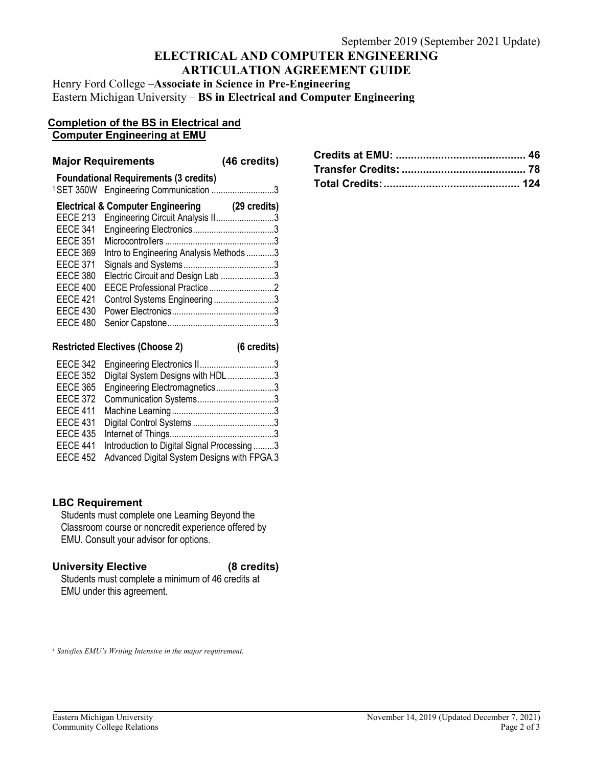# **ELECTRICAL AND COMPUTER ENGINEERING ARTICULATION AGREEMENT GUIDE**

Henry Ford College –**Associate in Science in Pre-Engineering** Eastern Michigan University – **BS in Electrical and Computer Engineering**

#### **Completion of the BS in Electrical and Computer Engineering at EMU**

#### **Major Requirements (46 credits)**

|              | <b>Foundational Requirements (3 credits)</b><br><sup>1</sup> SET 350W Engineering Communication 3 |                 |
|--------------|---------------------------------------------------------------------------------------------------|-----------------|
| (29 credits) | <b>Electrical &amp; Computer Engineering</b>                                                      |                 |
|              | Engineering Circuit Analysis II3                                                                  | <b>EECE 213</b> |
|              |                                                                                                   | <b>EECE 341</b> |
|              |                                                                                                   | <b>EECE 351</b> |
|              | Intro to Engineering Analysis Methods 3                                                           | <b>EECE 369</b> |
|              |                                                                                                   | <b>EECE 371</b> |
|              | Electric Circuit and Design Lab 3                                                                 | <b>EECE 380</b> |
|              |                                                                                                   | <b>EECE 400</b> |
|              | Control Systems Engineering3                                                                      | <b>EECE 421</b> |
|              |                                                                                                   | <b>EECE 430</b> |
|              |                                                                                                   | <b>EECE 480</b> |
|              |                                                                                                   |                 |

| <b>Restricted Electives (Choose 2)</b> |  | (6 credits) |
|----------------------------------------|--|-------------|
|                                        |  |             |

| EECE 342        |                                             |
|-----------------|---------------------------------------------|
| <b>EECE 352</b> | Digital System Designs with HDL3            |
| <b>EECE 365</b> | Engineering Electromagnetics3               |
| <b>EECE 372</b> |                                             |
| <b>EECE 411</b> |                                             |
| <b>EECE 431</b> |                                             |
| <b>EECE 435</b> |                                             |
| EECE 441        | Introduction to Digital Signal Processing3  |
| <b>EECE 452</b> | Advanced Digital System Designs with FPGA.3 |

# **LBC Requirement**

Students must complete one Learning Beyond the Classroom course or noncredit experience offered by EMU. Consult your advisor for options.

## **University Elective (8 credits)**

Students must complete a minimum of 46 credits at EMU under this agreement.

*<sup>1</sup> Satisfies EMU's Writing Intensive in the major requirement.*